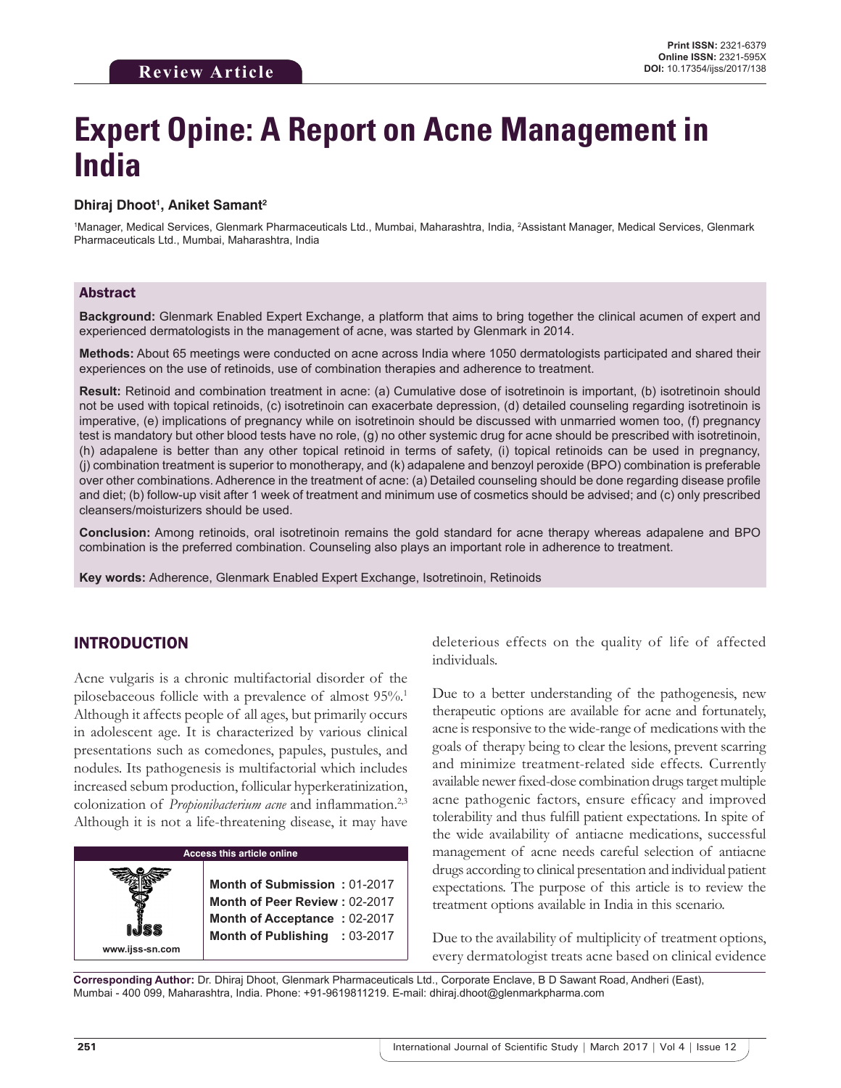# **Expert Opine: A Report on Acne Management in India**

## **Dhiraj Dhoot1 , Aniket Samant2**

<sup>1</sup>Manager, Medical Services, Glenmark Pharmaceuticals Ltd., Mumbai, Maharashtra, India, <sup>2</sup>Assistant Manager, Medical Services, Glenmark Pharmaceuticals Ltd., Mumbai, Maharashtra, India

#### Abstract

**Background:** Glenmark Enabled Expert Exchange, a platform that aims to bring together the clinical acumen of expert and experienced dermatologists in the management of acne, was started by Glenmark in 2014.

**Methods:** About 65 meetings were conducted on acne across India where 1050 dermatologists participated and shared their experiences on the use of retinoids, use of combination therapies and adherence to treatment.

**Result:** Retinoid and combination treatment in acne: (a) Cumulative dose of isotretinoin is important, (b) isotretinoin should not be used with topical retinoids, (c) isotretinoin can exacerbate depression, (d) detailed counseling regarding isotretinoin is imperative, (e) implications of pregnancy while on isotretinoin should be discussed with unmarried women too, (f) pregnancy test is mandatory but other blood tests have no role, (g) no other systemic drug for acne should be prescribed with isotretinoin, (h) adapalene is better than any other topical retinoid in terms of safety, (i) topical retinoids can be used in pregnancy, (j) combination treatment is superior to monotherapy, and (k) adapalene and benzoyl peroxide (BPO) combination is preferable over other combinations. Adherence in the treatment of acne: (a) Detailed counseling should be done regarding disease profile and diet; (b) follow-up visit after 1 week of treatment and minimum use of cosmetics should be advised; and (c) only prescribed cleansers/moisturizers should be used.

**Conclusion:** Among retinoids, oral isotretinoin remains the gold standard for acne therapy whereas adapalene and BPO combination is the preferred combination. Counseling also plays an important role in adherence to treatment.

**Key words:** Adherence, Glenmark Enabled Expert Exchange, Isotretinoin, Retinoids

# INTRODUCTION

Acne vulgaris is a chronic multifactorial disorder of the pilosebaceous follicle with a prevalence of almost 95%.1 Although it affects people of all ages, but primarily occurs in adolescent age. It is characterized by various clinical presentations such as comedones, papules, pustules, and nodules. Its pathogenesis is multifactorial which includes increased sebum production, follicular hyperkeratinization, colonization of *Propionibacterium acne* and inflammation.<sup>2,3</sup> Although it is not a life-threatening disease, it may have



deleterious effects on the quality of life of affected individuals.

Due to a better understanding of the pathogenesis, new therapeutic options are available for acne and fortunately, acne is responsive to the wide-range of medications with the goals of therapy being to clear the lesions, prevent scarring and minimize treatment-related side effects. Currently available newer fixed-dose combination drugs target multiple acne pathogenic factors, ensure efficacy and improved tolerability and thus fulfill patient expectations. In spite of the wide availability of antiacne medications, successful management of acne needs careful selection of antiacne drugs according to clinical presentation and individual patient expectations. The purpose of this article is to review the treatment options available in India in this scenario.

Due to the availability of multiplicity of treatment options, every dermatologist treats acne based on clinical evidence

**Corresponding Author:** Dr. Dhiraj Dhoot, Glenmark Pharmaceuticals Ltd., Corporate Enclave, B D Sawant Road, Andheri (East), Mumbai - 400 099, Maharashtra, India. Phone: +91-9619811219. E-mail: dhiraj.dhoot@glenmarkpharma.com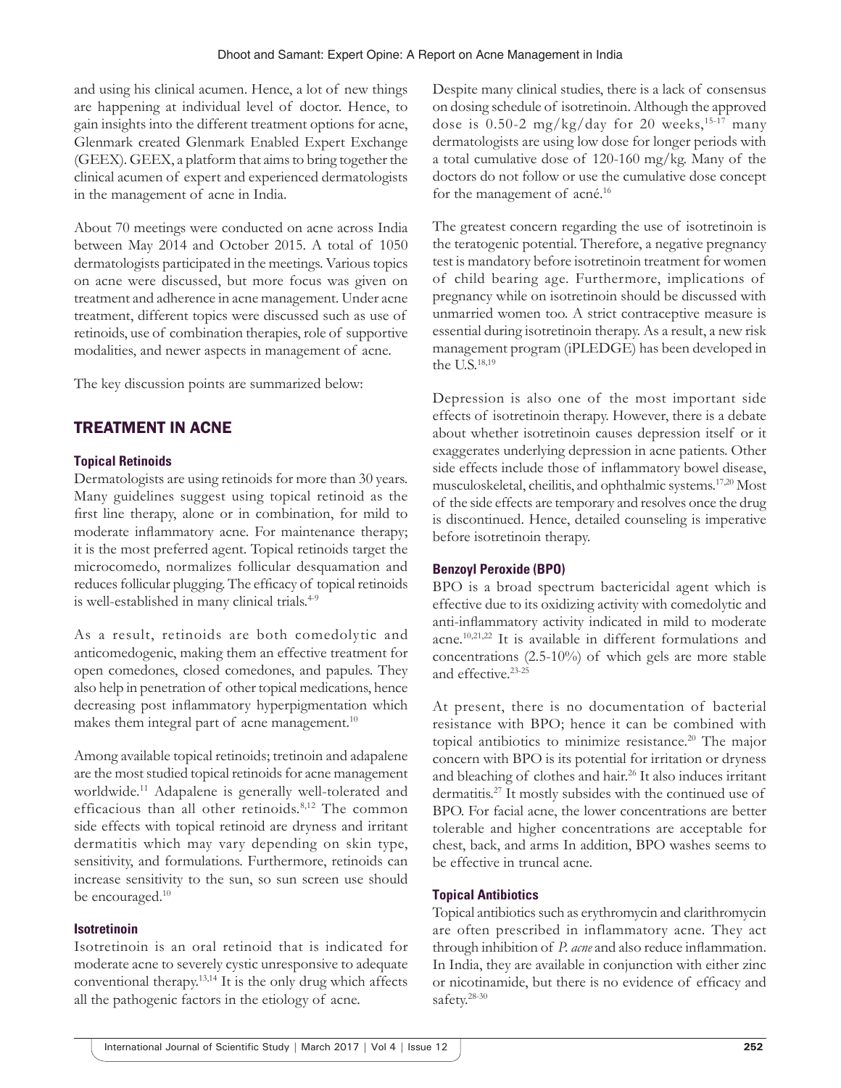and using his clinical acumen. Hence, a lot of new things are happening at individual level of doctor. Hence, to gain insights into the different treatment options for acne, Glenmark created Glenmark Enabled Expert Exchange (GEEX). GEEX, a platform that aims to bring together the clinical acumen of expert and experienced dermatologists in the management of acne in India.

About 70 meetings were conducted on acne across India between May 2014 and October 2015. A total of 1050 dermatologists participated in the meetings. Various topics on acne were discussed, but more focus was given on treatment and adherence in acne management. Under acne treatment, different topics were discussed such as use of retinoids, use of combination therapies, role of supportive modalities, and newer aspects in management of acne.

The key discussion points are summarized below:

# TREATMENT IN ACNE

# **Topical Retinoids**

Dermatologists are using retinoids for more than 30 years. Many guidelines suggest using topical retinoid as the first line therapy, alone or in combination, for mild to moderate inflammatory acne. For maintenance therapy; it is the most preferred agent. Topical retinoids target the microcomedo, normalizes follicular desquamation and reduces follicular plugging. The efficacy of topical retinoids is well-established in many clinical trials.<sup>4-9</sup>

As a result, retinoids are both comedolytic and anticomedogenic, making them an effective treatment for open comedones, closed comedones, and papules. They also help in penetration of other topical medications, hence decreasing post inflammatory hyperpigmentation which makes them integral part of acne management. $10$ 

Among available topical retinoids; tretinoin and adapalene are the most studied topical retinoids for acne management worldwide.<sup>11</sup> Adapalene is generally well-tolerated and efficacious than all other retinoids.<sup>8,12</sup> The common side effects with topical retinoid are dryness and irritant dermatitis which may vary depending on skin type, sensitivity, and formulations. Furthermore, retinoids can increase sensitivity to the sun, so sun screen use should be encouraged.<sup>10</sup>

# **Isotretinoin**

Isotretinoin is an oral retinoid that is indicated for moderate acne to severely cystic unresponsive to adequate conventional therapy.13,14 It is the only drug which affects all the pathogenic factors in the etiology of acne.

Despite many clinical studies, there is a lack of consensus on dosing schedule of isotretinoin. Although the approved dose is 0.50-2 mg/kg/day for 20 weeks,<sup>15-17</sup> many dermatologists are using low dose for longer periods with a total cumulative dose of 120-160 mg/kg. Many of the doctors do not follow or use the cumulative dose concept for the management of acné.16

The greatest concern regarding the use of isotretinoin is the teratogenic potential. Therefore, a negative pregnancy test is mandatory before isotretinoin treatment for women of child bearing age. Furthermore, implications of pregnancy while on isotretinoin should be discussed with unmarried women too. A strict contraceptive measure is essential during isotretinoin therapy. As a result, a new risk management program (iPLEDGE) has been developed in the U.S.18,19

Depression is also one of the most important side effects of isotretinoin therapy. However, there is a debate about whether isotretinoin causes depression itself or it exaggerates underlying depression in acne patients. Other side effects include those of inflammatory bowel disease, musculoskeletal, cheilitis, and ophthalmic systems.17,20 Most of the side effects are temporary and resolves once the drug is discontinued. Hence, detailed counseling is imperative before isotretinoin therapy.

# **Benzoyl Peroxide (BPO)**

BPO is a broad spectrum bactericidal agent which is effective due to its oxidizing activity with comedolytic and anti-inflammatory activity indicated in mild to moderate acne.10,21,22 It is available in different formulations and concentrations (2.5-10%) of which gels are more stable and effective.23-25

At present, there is no documentation of bacterial resistance with BPO; hence it can be combined with topical antibiotics to minimize resistance.<sup>20</sup> The major concern with BPO is its potential for irritation or dryness and bleaching of clothes and hair.26 It also induces irritant dermatitis.27 It mostly subsides with the continued use of BPO. For facial acne, the lower concentrations are better tolerable and higher concentrations are acceptable for chest, back, and arms In addition, BPO washes seems to be effective in truncal acne.

# **Topical Antibiotics**

Topical antibiotics such as erythromycin and clarithromycin are often prescribed in inflammatory acne. They act through inhibition of *P. acne* and also reduce inflammation. In India, they are available in conjunction with either zinc or nicotinamide, but there is no evidence of efficacy and safety.28-30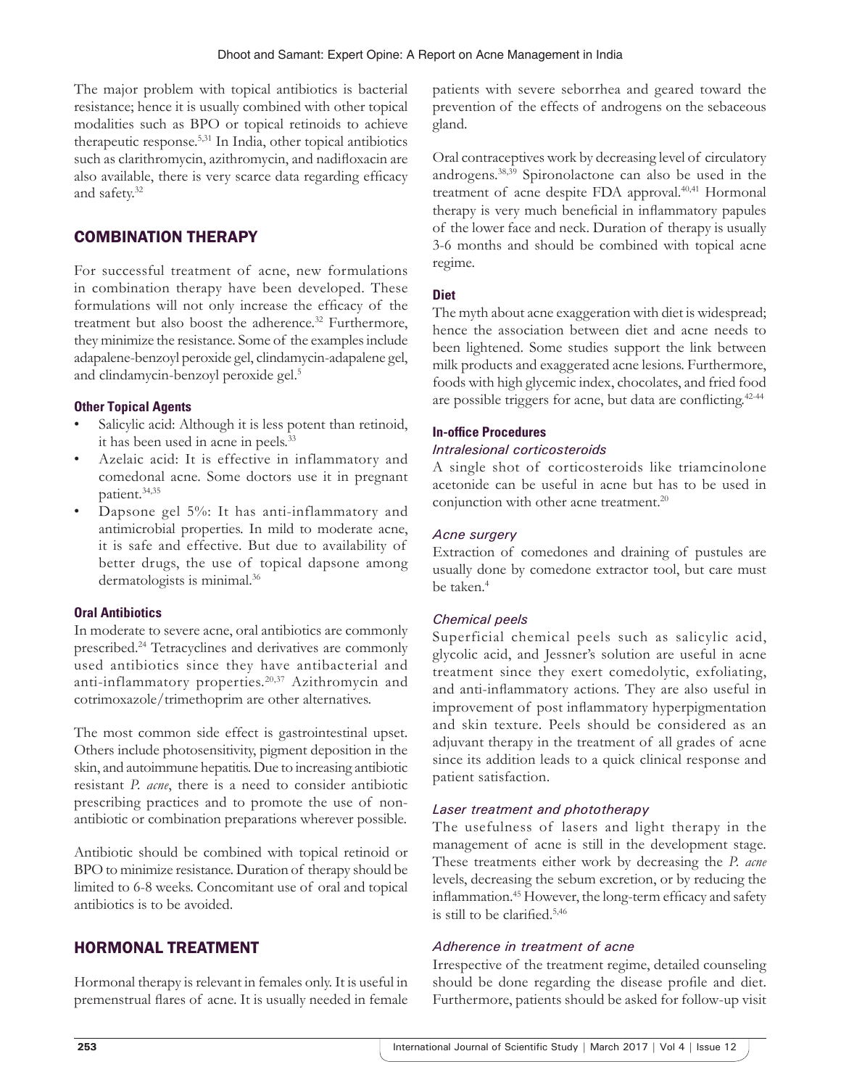The major problem with topical antibiotics is bacterial resistance; hence it is usually combined with other topical modalities such as BPO or topical retinoids to achieve therapeutic response.5,31 In India, other topical antibiotics such as clarithromycin, azithromycin, and nadifloxacin are also available, there is very scarce data regarding efficacy and safety.32

# COMBINATION THERAPY

For successful treatment of acne, new formulations in combination therapy have been developed. These formulations will not only increase the efficacy of the treatment but also boost the adherence.<sup>32</sup> Furthermore, they minimize the resistance. Some of the examples include adapalene-benzoyl peroxide gel, clindamycin-adapalene gel, and clindamycin-benzoyl peroxide gel.<sup>5</sup>

# **Other Topical Agents**

- Salicylic acid: Although it is less potent than retinoid, it has been used in acne in peels.33
- Azelaic acid: It is effective in inflammatory and comedonal acne. Some doctors use it in pregnant patient.34,35
- Dapsone gel 5%: It has anti-inflammatory and antimicrobial properties. In mild to moderate acne, it is safe and effective. But due to availability of better drugs, the use of topical dapsone among dermatologists is minimal.<sup>36</sup>

# **Oral Antibiotics**

In moderate to severe acne, oral antibiotics are commonly prescribed.24 Tetracyclines and derivatives are commonly used antibiotics since they have antibacterial and anti-inflammatory properties.20,37 Azithromycin and cotrimoxazole/trimethoprim are other alternatives.

The most common side effect is gastrointestinal upset. Others include photosensitivity, pigment deposition in the skin, and autoimmune hepatitis. Due to increasing antibiotic resistant *P. acne*, there is a need to consider antibiotic prescribing practices and to promote the use of nonantibiotic or combination preparations wherever possible.

Antibiotic should be combined with topical retinoid or BPO to minimize resistance. Duration of therapy should be limited to 6-8 weeks. Concomitant use of oral and topical antibiotics is to be avoided.

# HORMONAL TREATMENT

Hormonal therapy is relevant in females only. It is useful in premenstrual flares of acne. It is usually needed in female patients with severe seborrhea and geared toward the prevention of the effects of androgens on the sebaceous gland.

Oral contraceptives work by decreasing level of circulatory androgens.38,39 Spironolactone can also be used in the treatment of acne despite FDA approval.<sup>40,41</sup> Hormonal therapy is very much beneficial in inflammatory papules of the lower face and neck. Duration of therapy is usually 3-6 months and should be combined with topical acne regime.

## **Diet**

The myth about acne exaggeration with diet is widespread; hence the association between diet and acne needs to been lightened. Some studies support the link between milk products and exaggerated acne lesions. Furthermore, foods with high glycemic index, chocolates, and fried food are possible triggers for acne, but data are conflicting.<sup>42-44</sup>

## **In-office Procedures**

## *Intralesional corticosteroids*

A single shot of corticosteroids like triamcinolone acetonide can be useful in acne but has to be used in conjunction with other acne treatment.<sup>20</sup>

## *Acne surgery*

Extraction of comedones and draining of pustules are usually done by comedone extractor tool, but care must be taken.<sup>4</sup>

# *Chemical peels*

Superficial chemical peels such as salicylic acid, glycolic acid, and Jessner's solution are useful in acne treatment since they exert comedolytic, exfoliating, and anti-inflammatory actions. They are also useful in improvement of post inflammatory hyperpigmentation and skin texture. Peels should be considered as an adjuvant therapy in the treatment of all grades of acne since its addition leads to a quick clinical response and patient satisfaction.

# *Laser treatment and phototherapy*

The usefulness of lasers and light therapy in the management of acne is still in the development stage. These treatments either work by decreasing the *P. acne* levels, decreasing the sebum excretion, or by reducing the inflammation.<sup>45</sup> However, the long-term efficacy and safety is still to be clarified.5,46

#### *Adherence in treatment of acne*

Irrespective of the treatment regime, detailed counseling should be done regarding the disease profile and diet. Furthermore, patients should be asked for follow-up visit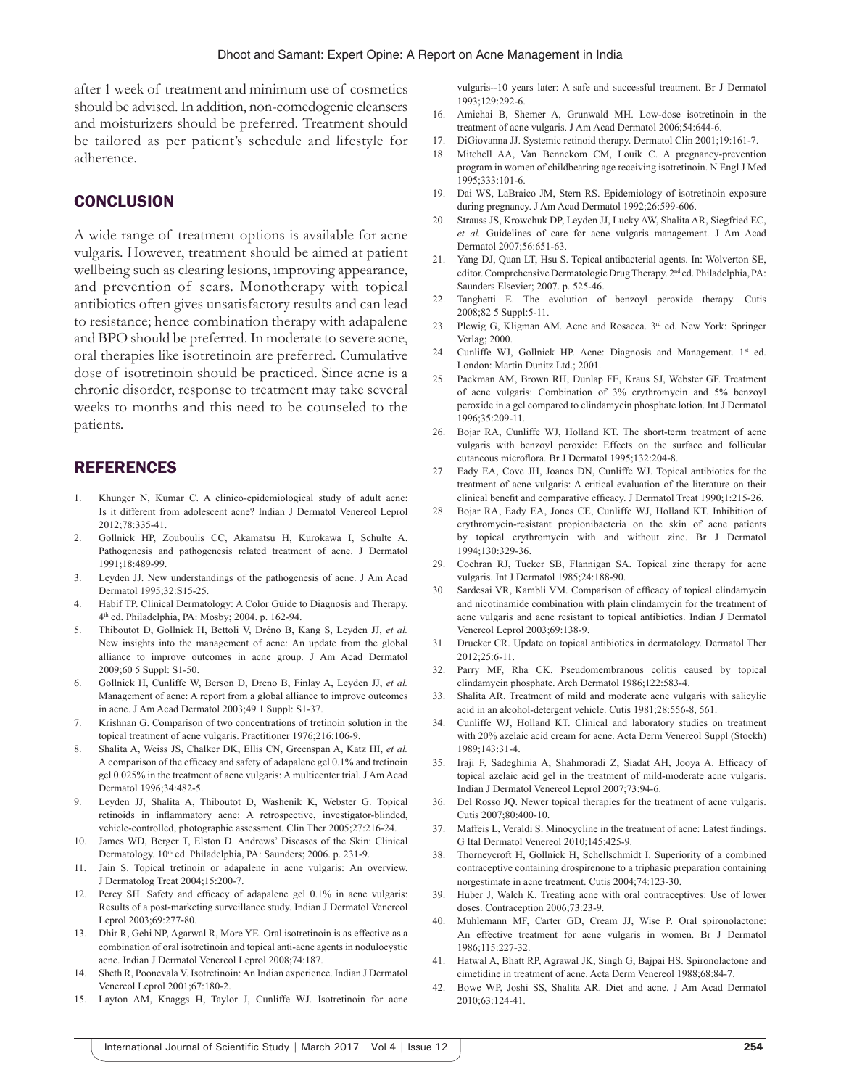after 1 week of treatment and minimum use of cosmetics should be advised. In addition, non-comedogenic cleansers and moisturizers should be preferred. Treatment should be tailored as per patient's schedule and lifestyle for adherence.

# **CONCLUSION**

A wide range of treatment options is available for acne vulgaris. However, treatment should be aimed at patient wellbeing such as clearing lesions, improving appearance, and prevention of scars. Monotherapy with topical antibiotics often gives unsatisfactory results and can lead to resistance; hence combination therapy with adapalene and BPO should be preferred. In moderate to severe acne, oral therapies like isotretinoin are preferred. Cumulative dose of isotretinoin should be practiced. Since acne is a chronic disorder, response to treatment may take several weeks to months and this need to be counseled to the patients.

#### REFERENCES

- 1. Khunger N, Kumar C. A clinico-epidemiological study of adult acne: Is it different from adolescent acne? Indian J Dermatol Venereol Leprol 2012;78:335-41.
- 2. Gollnick HP, Zouboulis CC, Akamatsu H, Kurokawa I, Schulte A. Pathogenesis and pathogenesis related treatment of acne. J Dermatol 1991;18:489-99.
- 3. Leyden JJ. New understandings of the pathogenesis of acne. J Am Acad Dermatol 1995;32:S15-25.
- 4. Habif TP. Clinical Dermatology: A Color Guide to Diagnosis and Therapy. 4th ed. Philadelphia, PA: Mosby; 2004. p. 162-94.
- 5. Thiboutot D, Gollnick H, Bettoli V, Dréno B, Kang S, Leyden JJ, *et al.* New insights into the management of acne: An update from the global alliance to improve outcomes in acne group. J Am Acad Dermatol 2009;60 5 Suppl: S1-50.
- 6. Gollnick H, Cunliffe W, Berson D, Dreno B, Finlay A, Leyden JJ, *et al.* Management of acne: A report from a global alliance to improve outcomes in acne. J Am Acad Dermatol 2003;49 1 Suppl: S1-37.
- 7. Krishnan G. Comparison of two concentrations of tretinoin solution in the topical treatment of acne vulgaris. Practitioner 1976;216:106-9.
- 8. Shalita A, Weiss JS, Chalker DK, Ellis CN, Greenspan A, Katz HI, *et al.*  A comparison of the efficacy and safety of adapalene gel 0.1% and tretinoin gel 0.025% in the treatment of acne vulgaris: A multicenter trial. J Am Acad Dermatol 1996;34:482-5.
- 9. Leyden JJ, Shalita A, Thiboutot D, Washenik K, Webster G. Topical retinoids in inflammatory acne: A retrospective, investigator-blinded, vehicle-controlled, photographic assessment. Clin Ther 2005;27:216-24.
- 10. James WD, Berger T, Elston D. Andrews' Diseases of the Skin: Clinical Dermatology. 10th ed. Philadelphia, PA: Saunders; 2006. p. 231-9.
- 11. Jain S. Topical tretinoin or adapalene in acne vulgaris: An overview. J Dermatolog Treat 2004;15:200-7.
- 12. Percy SH. Safety and efficacy of adapalene gel 0.1% in acne vulgaris: Results of a post-marketing surveillance study. Indian J Dermatol Venereol Leprol 2003;69:277-80.
- 13. Dhir R, Gehi NP, Agarwal R, More YE. Oral isotretinoin is as effective as a combination of oral isotretinoin and topical anti-acne agents in nodulocystic acne. Indian J Dermatol Venereol Leprol 2008;74:187.
- 14. Sheth R, Poonevala V. Isotretinoin: An Indian experience. Indian J Dermatol Venereol Leprol 2001;67:180-2.
- 15. Layton AM, Knaggs H, Taylor J, Cunliffe WJ. Isotretinoin for acne

vulgaris--10 years later: A safe and successful treatment. Br J Dermatol 1993;129:292-6.

- 16. Amichai B, Shemer A, Grunwald MH. Low-dose isotretinoin in the treatment of acne vulgaris. J Am Acad Dermatol 2006;54:644-6.
- 17. DiGiovanna JJ. Systemic retinoid therapy. Dermatol Clin 2001;19:161-7.
- 18. Mitchell AA, Van Bennekom CM, Louik C. A pregnancy-prevention program in women of childbearing age receiving isotretinoin. N Engl J Med 1995;333:101-6.
- 19. Dai WS, LaBraico JM, Stern RS. Epidemiology of isotretinoin exposure during pregnancy. J Am Acad Dermatol 1992;26:599-606.
- 20. Strauss JS, Krowchuk DP, Leyden JJ, Lucky AW, Shalita AR, Siegfried EC, *et al.* Guidelines of care for acne vulgaris management. J Am Acad Dermatol 2007;56:651-63.
- 21. Yang DJ, Quan LT, Hsu S. Topical antibacterial agents. In: Wolverton SE, editor. Comprehensive Dermatologic Drug Therapy. 2<sup>nd</sup> ed. Philadelphia, PA: Saunders Elsevier; 2007. p. 525-46.
- 22. Tanghetti E. The evolution of benzoyl peroxide therapy. Cutis 2008;82 5 Suppl:5-11.
- 23. Plewig G, Kligman AM. Acne and Rosacea. 3rd ed. New York: Springer Verlag; 2000.
- 24. Cunliffe WJ, Gollnick HP. Acne: Diagnosis and Management. 1<sup>st</sup> ed. London: Martin Dunitz Ltd.; 2001.
- 25. Packman AM, Brown RH, Dunlap FE, Kraus SJ, Webster GF. Treatment of acne vulgaris: Combination of 3% erythromycin and 5% benzoyl peroxide in a gel compared to clindamycin phosphate lotion. Int J Dermatol 1996;35:209-11.
- 26. Bojar RA, Cunliffe WJ, Holland KT. The short-term treatment of acne vulgaris with benzoyl peroxide: Effects on the surface and follicular cutaneous microflora. Br J Dermatol 1995;132:204-8.
- 27. Eady EA, Cove JH, Joanes DN, Cunliffe WJ. Topical antibiotics for the treatment of acne vulgaris: A critical evaluation of the literature on their clinical benefit and comparative efficacy. J Dermatol Treat 1990;1:215-26.
- 28. Bojar RA, Eady EA, Jones CE, Cunliffe WJ, Holland KT. Inhibition of erythromycin-resistant propionibacteria on the skin of acne patients by topical erythromycin with and without zinc. Br J Dermatol 1994;130:329-36.
- 29. Cochran RJ, Tucker SB, Flannigan SA. Topical zinc therapy for acne vulgaris. Int J Dermatol 1985;24:188-90.
- Sardesai VR, Kambli VM. Comparison of efficacy of topical clindamycin and nicotinamide combination with plain clindamycin for the treatment of acne vulgaris and acne resistant to topical antibiotics. Indian J Dermatol Venereol Leprol 2003;69:138-9.
- 31. Drucker CR. Update on topical antibiotics in dermatology. Dermatol Ther 2012;25:6-11.
- 32. Parry MF, Rha CK. Pseudomembranous colitis caused by topical clindamycin phosphate. Arch Dermatol 1986;122:583-4.
- 33. Shalita AR. Treatment of mild and moderate acne vulgaris with salicylic acid in an alcohol-detergent vehicle. Cutis 1981;28:556-8, 561.
- 34. Cunliffe WJ, Holland KT. Clinical and laboratory studies on treatment with 20% azelaic acid cream for acne. Acta Derm Venereol Suppl (Stockh) 1989;143:31-4.
- 35. Iraji F, Sadeghinia A, Shahmoradi Z, Siadat AH, Jooya A. Efficacy of topical azelaic acid gel in the treatment of mild-moderate acne vulgaris. Indian J Dermatol Venereol Leprol 2007;73:94-6.
- 36. Del Rosso JQ. Newer topical therapies for the treatment of acne vulgaris. Cutis 2007;80:400-10.
- 37. Maffeis L, Veraldi S. Minocycline in the treatment of acne: Latest findings. G Ital Dermatol Venereol 2010;145:425-9.
- 38. Thorneycroft H, Gollnick H, Schellschmidt I. Superiority of a combined contraceptive containing drospirenone to a triphasic preparation containing norgestimate in acne treatment. Cutis 2004;74:123-30.
- 39. Huber J, Walch K. Treating acne with oral contraceptives: Use of lower doses. Contraception 2006;73:23-9.
- 40. Muhlemann MF, Carter GD, Cream JJ, Wise P. Oral spironolactone: An effective treatment for acne vulgaris in women. Br J Dermatol 1986;115:227-32.
- 41. Hatwal A, Bhatt RP, Agrawal JK, Singh G, Bajpai HS. Spironolactone and cimetidine in treatment of acne. Acta Derm Venereol 1988;68:84-7.
- 42. Bowe WP, Joshi SS, Shalita AR. Diet and acne. J Am Acad Dermatol 2010;63:124-41.